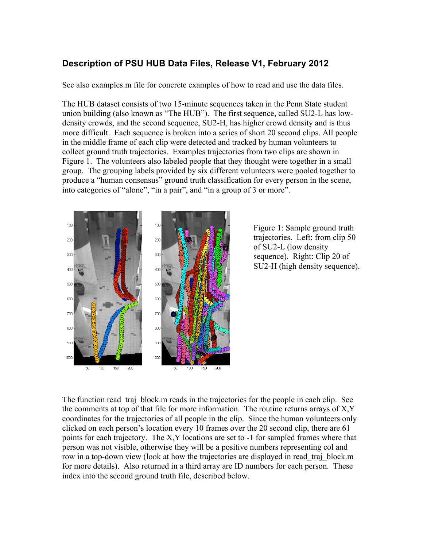## **Description of PSU HUB Data Files, Release V1, February 2012**

See also examples.m file for concrete examples of how to read and use the data files.

The HUB dataset consists of two 15-minute sequences taken in the Penn State student union building (also known as "The HUB"). The first sequence, called SU2-L has lowdensity crowds, and the second sequence, SU2-H, has higher crowd density and is thus more difficult. Each sequence is broken into a series of short 20 second clips. All people in the middle frame of each clip were detected and tracked by human volunteers to collect ground truth trajectories. Examples trajectories from two clips are shown in Figure 1. The volunteers also labeled people that they thought were together in a small group. The grouping labels provided by six different volunteers were pooled together to produce a "human consensus" ground truth classification for every person in the scene, into categories of "alone", "in a pair", and "in a group of 3 or more".



Figure 1: Sample ground truth trajectories. Left: from clip 50 of SU2-L (low density sequence). Right: Clip 20 of SU2-H (high density sequence).

The function read traj block.m reads in the trajectories for the people in each clip. See the comments at top of that file for more information. The routine returns arrays of X,Y coordinates for the trajectories of all people in the clip. Since the human volunteers only clicked on each person's location every 10 frames over the 20 second clip, there are 61 points for each trajectory. The X,Y locations are set to -1 for sampled frames where that person was not visible, otherwise they will be a positive numbers representing col and row in a top-down view (look at how the trajectories are displayed in read\_traj\_block.m for more details). Also returned in a third array are ID numbers for each person. These index into the second ground truth file, described below.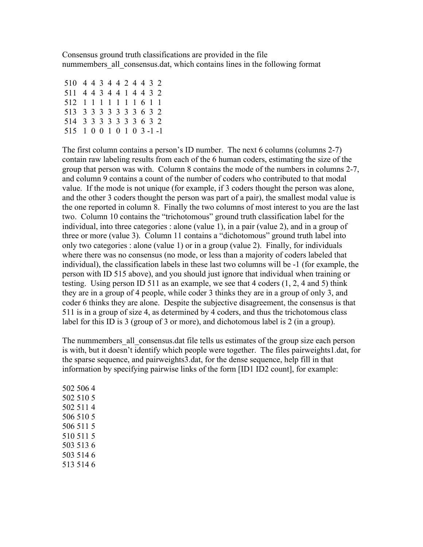Consensus ground truth classifications are provided in the file nummembers all consensus.dat, which contains lines in the following format

| 510 4 4 3 4 4 2 4 4 3 2   |  |  |  |  |  |
|---------------------------|--|--|--|--|--|
| 511 4 4 3 4 4 1 4 4 3 2   |  |  |  |  |  |
| 512 1 1 1 1 1 1 1 6 1 1   |  |  |  |  |  |
| 513 3 3 3 3 3 3 3 6 3 2   |  |  |  |  |  |
| 514 3 3 3 3 3 3 3 6 3 2   |  |  |  |  |  |
| 515 1 0 0 1 0 1 0 3 -1 -1 |  |  |  |  |  |

The first column contains a person's ID number. The next 6 columns (columns 2-7) contain raw labeling results from each of the 6 human coders, estimating the size of the group that person was with. Column 8 contains the mode of the numbers in columns 2-7, and column 9 contains a count of the number of coders who contributed to that modal value. If the mode is not unique (for example, if 3 coders thought the person was alone, and the other 3 coders thought the person was part of a pair), the smallest modal value is the one reported in column 8. Finally the two columns of most interest to you are the last two. Column 10 contains the "trichotomous" ground truth classification label for the individual, into three categories : alone (value 1), in a pair (value 2), and in a group of three or more (value 3). Column 11 contains a "dichotomous" ground truth label into only two categories : alone (value 1) or in a group (value 2). Finally, for individuals where there was no consensus (no mode, or less than a majority of coders labeled that individual), the classification labels in these last two columns will be -1 (for example, the person with ID 515 above), and you should just ignore that individual when training or testing. Using person ID 511 as an example, we see that 4 coders (1, 2, 4 and 5) think they are in a group of 4 people, while coder 3 thinks they are in a group of only 3, and coder 6 thinks they are alone. Despite the subjective disagreement, the consensus is that 511 is in a group of size 4, as determined by 4 coders, and thus the trichotomous class label for this ID is 3 (group of 3 or more), and dichotomous label is 2 (in a group).

The nummembers all consensus. dat file tells us estimates of the group size each person is with, but it doesn't identify which people were together. The files pairweights1.dat, for the sparse sequence, and pairweights3.dat, for the dense sequence, help fill in that information by specifying pairwise links of the form [ID1 ID2 count], for example: